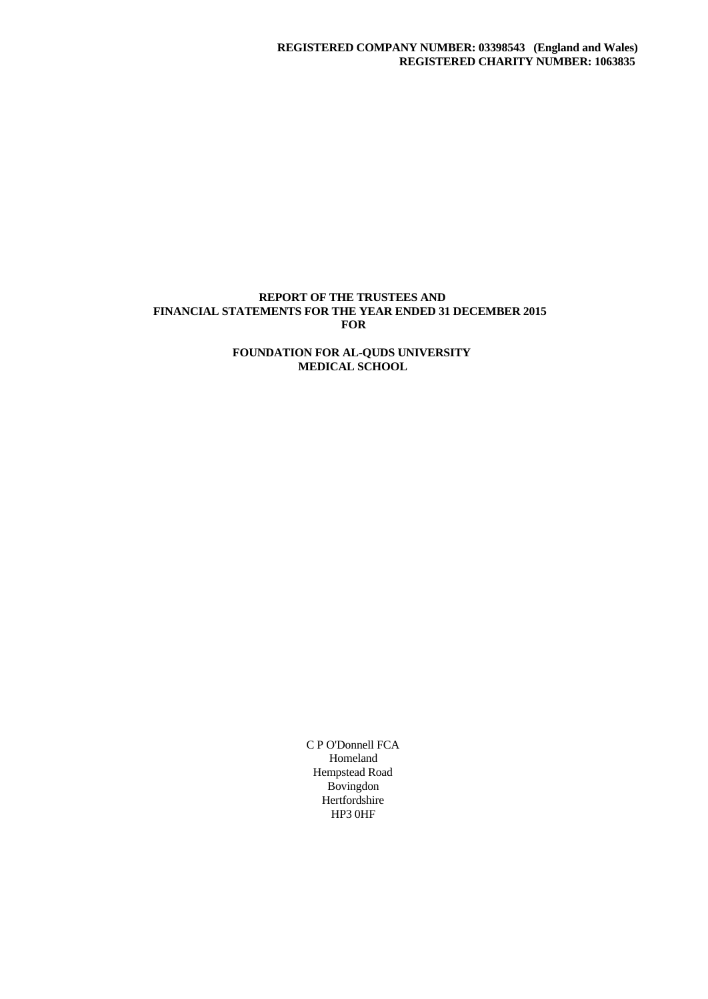### **REPORT OF THE TRUSTEES AND FINANCIAL STATEMENTS FOR THE YEAR ENDED 31 DECEMBER 2015 FOR**

# **FOUNDATION FOR AL-QUDS UNIVERSITY MEDICAL SCHOOL**

C P O'Donnell FCA Homeland Hempstead Road Bovingdon Hertfordshire HP3 0HF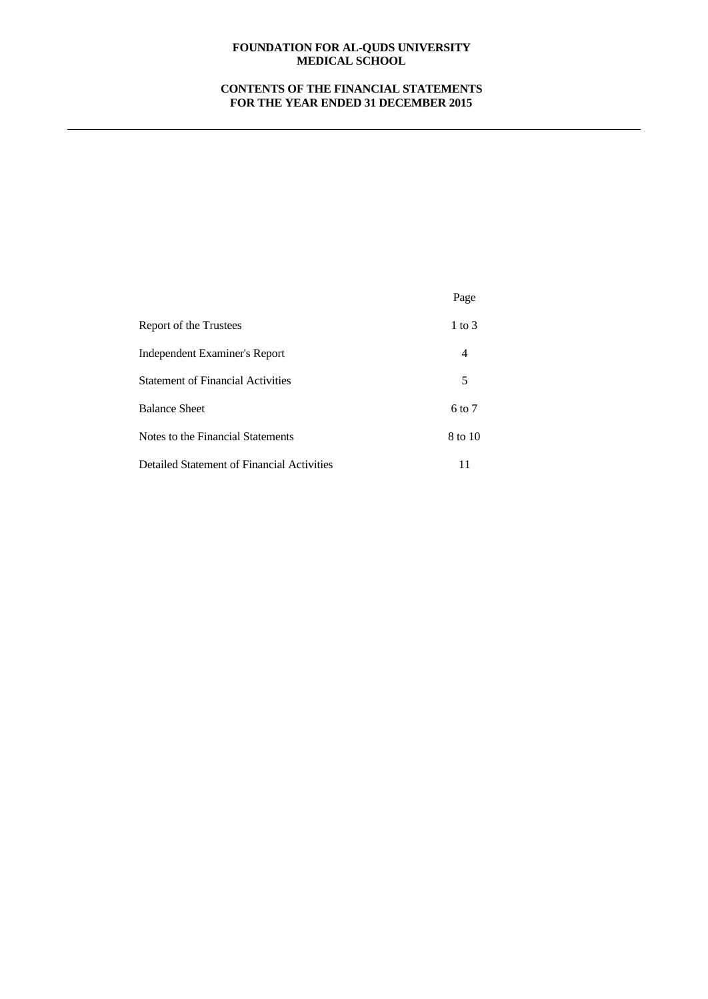# **CONTENTS OF THE FINANCIAL STATEMENTS FOR THE YEAR ENDED 31 DECEMBER 2015**

|                                            | Page       |
|--------------------------------------------|------------|
| Report of the Trustees                     | $1$ to $3$ |
| Independent Examiner's Report              | 4          |
| <b>Statement of Financial Activities</b>   | 5          |
| <b>Balance Sheet</b>                       | 6 to 7     |
| Notes to the Financial Statements          | 8 to 10    |
| Detailed Statement of Financial Activities | 11         |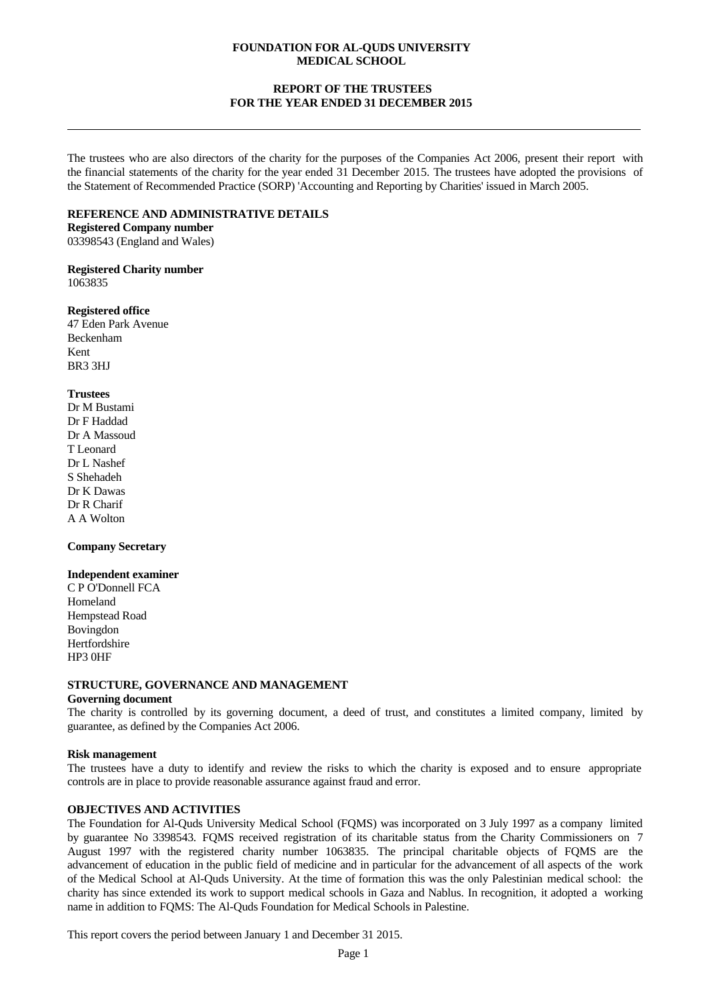# **REPORT OF THE TRUSTEES FOR THE YEAR ENDED 31 DECEMBER 2015**

The trustees who are also directors of the charity for the purposes of the Companies Act 2006, present their report with the financial statements of the charity for the year ended 31 December 2015. The trustees have adopted the provisions of the Statement of Recommended Practice (SORP) 'Accounting and Reporting by Charities' issued in March 2005.

## **REFERENCE AND ADMINISTRATIVE DETAILS**

**Registered Company number** 03398543 (England and Wales)

**Registered Charity number** 1063835

## **Registered office**

47 Eden Park Avenue Beckenham Kent BR3 3HJ

## **Trustees**

Dr M Bustami Dr F Haddad Dr A Massoud T Leonard Dr L Nashef S Shehadeh Dr K Dawas Dr R Charif A A Wolton

## **Company Secretary**

#### **Independent examiner**

C P O'Donnell FCA Homeland Hempstead Road Bovingdon Hertfordshire HP3 0HF

# **STRUCTURE, GOVERNANCE AND MANAGEMENT**

#### **Governing document**

The charity is controlled by its governing document, a deed of trust, and constitutes a limited company, limited by guarantee, as defined by the Companies Act 2006.

#### **Risk management**

The trustees have a duty to identify and review the risks to which the charity is exposed and to ensure appropriate controls are in place to provide reasonable assurance against fraud and error.

## **OBJECTIVES AND ACTIVITIES**

The Foundation for Al-Quds University Medical School (FQMS) was incorporated on 3 July 1997 as a company limited by guarantee No 3398543. FQMS received registration of its charitable status from the Charity Commissioners on 7 August 1997 with the registered charity number 1063835. The principal charitable objects of FQMS are the advancement of education in the public field of medicine and in particular for the advancement of all aspects of the work of the Medical School at Al-Quds University. At the time of formation this was the only Palestinian medical school: the charity has since extended its work to support medical schools in Gaza and Nablus. In recognition, it adopted a working name in addition to FQMS: The Al-Quds Foundation for Medical Schools in Palestine.

This report covers the period between January 1 and December 31 2015.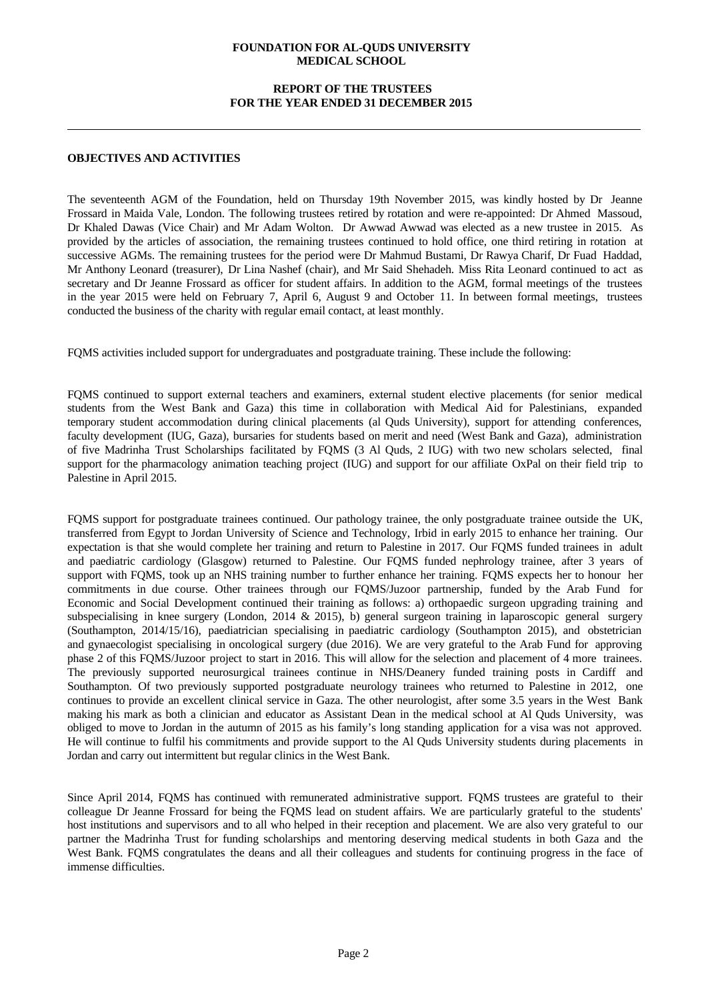## **REPORT OF THE TRUSTEES FOR THE YEAR ENDED 31 DECEMBER 2015**

#### **OBJECTIVES AND ACTIVITIES**

The seventeenth AGM of the Foundation, held on Thursday 19th November 2015, was kindly hosted by Dr Jeanne Frossard in Maida Vale, London. The following trustees retired by rotation and were re-appointed: Dr Ahmed Massoud, Dr Khaled Dawas (Vice Chair) and Mr Adam Wolton. Dr Awwad Awwad was elected as a new trustee in 2015. As provided by the articles of association, the remaining trustees continued to hold office, one third retiring in rotation at successive AGMs. The remaining trustees for the period were Dr Mahmud Bustami, Dr Rawya Charif, Dr Fuad Haddad, Mr Anthony Leonard (treasurer), Dr Lina Nashef (chair), and Mr Said Shehadeh. Miss Rita Leonard continued to act as secretary and Dr Jeanne Frossard as officer for student affairs. In addition to the AGM, formal meetings of the trustees in the year 2015 were held on February 7, April 6, August 9 and October 11. In between formal meetings, trustees conducted the business of the charity with regular email contact, at least monthly.

FQMS activities included support for undergraduates and postgraduate training. These include the following:

FQMS continued to support external teachers and examiners, external student elective placements (for senior medical students from the West Bank and Gaza) this time in collaboration with Medical Aid for Palestinians, expanded temporary student accommodation during clinical placements (al Quds University), support for attending conferences, faculty development (IUG, Gaza), bursaries for students based on merit and need (West Bank and Gaza), administration of five Madrinha Trust Scholarships facilitated by FQMS (3 Al Quds, 2 IUG) with two new scholars selected, final support for the pharmacology animation teaching project (IUG) and support for our affiliate OxPal on their field trip to Palestine in April 2015.

FQMS support for postgraduate trainees continued. Our pathology trainee, the only postgraduate trainee outside the UK, transferred from Egypt to Jordan University of Science and Technology, Irbid in early 2015 to enhance her training. Our expectation is that she would complete her training and return to Palestine in 2017. Our FQMS funded trainees in adult and paediatric cardiology (Glasgow) returned to Palestine. Our FQMS funded nephrology trainee, after 3 years of support with FQMS, took up an NHS training number to further enhance her training. FQMS expects her to honour her commitments in due course. Other trainees through our FQMS/Juzoor partnership, funded by the Arab Fund for Economic and Social Development continued their training as follows: a) orthopaedic surgeon upgrading training and subspecialising in knee surgery (London, 2014 & 2015), b) general surgeon training in laparoscopic general surgery (Southampton, 2014/15/16), paediatrician specialising in paediatric cardiology (Southampton 2015), and obstetrician and gynaecologist specialising in oncological surgery (due 2016). We are very grateful to the Arab Fund for approving phase 2 of this FQMS/Juzoor project to start in 2016. This will allow for the selection and placement of 4 more trainees. The previously supported neurosurgical trainees continue in NHS/Deanery funded training posts in Cardiff and Southampton. Of two previously supported postgraduate neurology trainees who returned to Palestine in 2012, one continues to provide an excellent clinical service in Gaza.The other neurologist, after some 3.5 years in the West Bank making his mark as both a clinician and educator as Assistant Dean in the medical school at Al Quds University, was obliged to move to Jordan in the autumn of 2015 as his family's long standing application for a visa was not approved. He will continue to fulfil his commitments and provide support to the Al Quds University students during placements in Jordan and carry out intermittent but regular clinics in the West Bank.

Since April 2014, FQMS has continued with remunerated administrative support. FQMS trustees are grateful to their colleague Dr Jeanne Frossard for being the FQMS lead on student affairs. We are particularly grateful to the students' host institutions and supervisors and to all who helped in their reception and placement. We are also very grateful to our partner the Madrinha Trust for funding scholarships and mentoring deserving medical students in both Gaza and the West Bank. FOMS congratulates the deans and all their colleagues and students for continuing progress in the face of immense difficulties.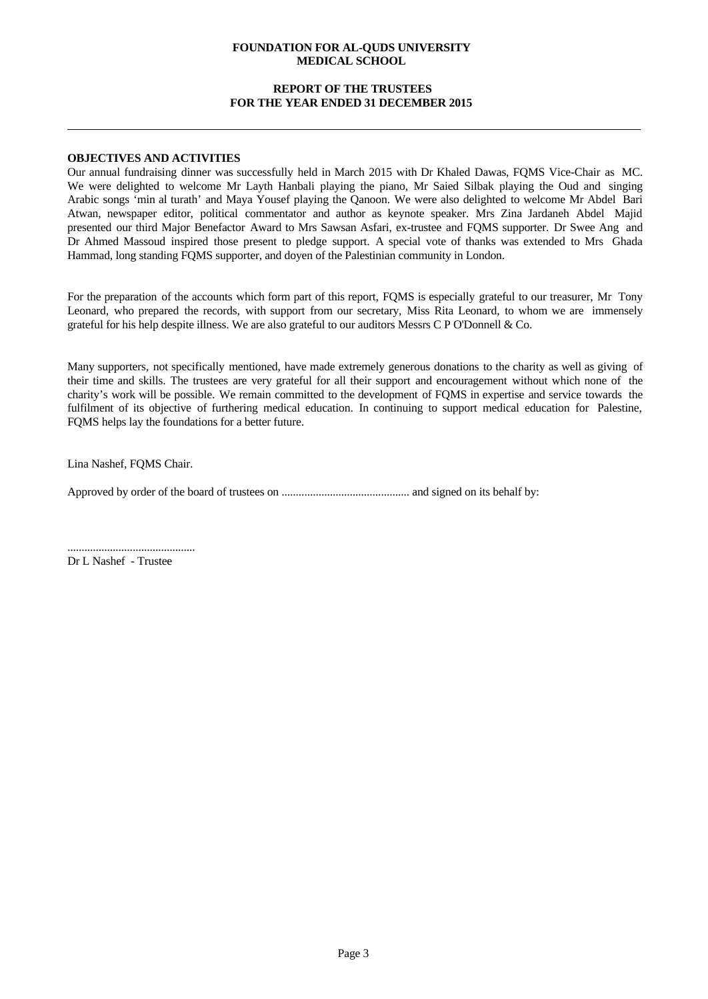## **REPORT OF THE TRUSTEES FOR THE YEAR ENDED 31 DECEMBER 2015**

## **OBJECTIVES AND ACTIVITIES**

Our annual fundraising dinner was successfully held in March 2015 with Dr Khaled Dawas, FQMS Vice-Chair as MC. We were delighted to welcome Mr Layth Hanbali playing the piano, Mr Saied Silbak playing the Oud and singing Arabic songs 'min al turath' and Maya Yousef playing the Qanoon.We were also delighted to welcome Mr Abdel Bari Atwan, newspaper editor, political commentator and author as keynote speaker. Mrs Zina Jardaneh Abdel Majid presented our third Major Benefactor Award to Mrs Sawsan Asfari, ex-trustee and FQMS supporter. Dr Swee Ang and Dr Ahmed Massoud inspired those present to pledge support. A special vote of thanks was extended to Mrs Ghada Hammad, long standing FQMS supporter, and doyen of the Palestinian community in London.

For the preparation of the accounts which form part of this report, FQMS is especially grateful to our treasurer, Mr Tony Leonard, who prepared the records, with support from our secretary, Miss Rita Leonard, to whom we are immensely grateful for his help despite illness. We are also grateful to our auditors Messrs C P O'Donnell & Co.

Many supporters, not specifically mentioned, have made extremely generous donations to the charity as well as giving of their time and skills. The trustees are very grateful for all their support and encouragement without which none of the charity's work will be possible. We remain committed to the development of FQMS inexpertise and service towards the fulfilment of its objective of furthering medical education. In continuing to support medical education for Palestine, FQMS helps lay the foundations for a better future.

Lina Nashef, FQMS Chair.

Approved by order of the board of trustees on ............................................. and signed on its behalf by:

............................................. Dr L Nashef - Trustee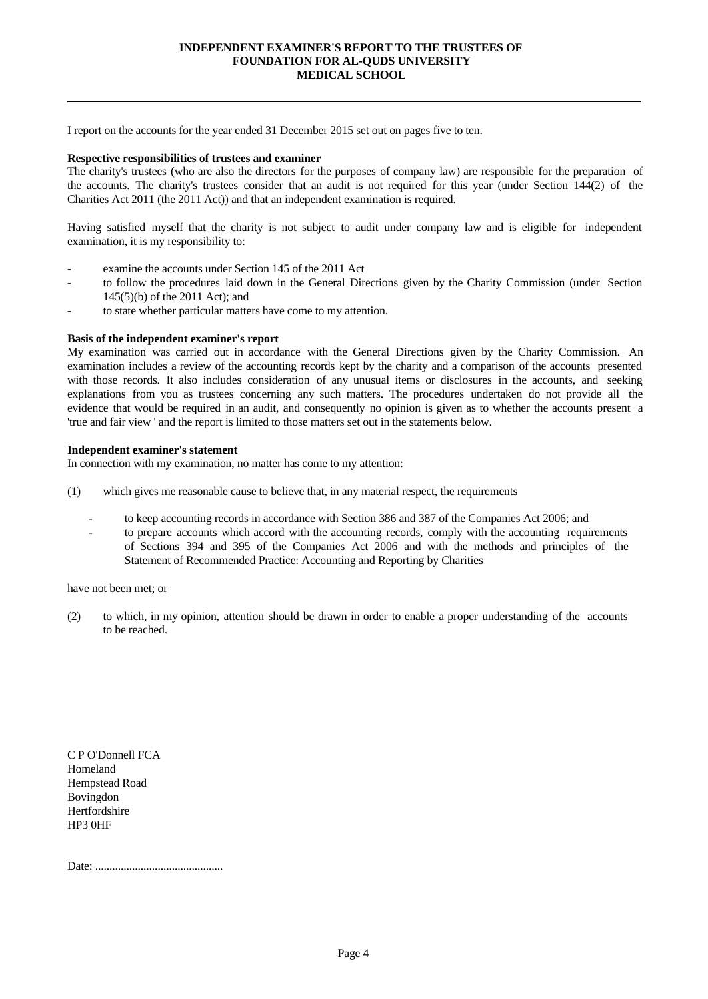## **INDEPENDENT EXAMINER'S REPORT TO THE TRUSTEES OF FOUNDATION FOR AL-QUDS UNIVERSITY MEDICAL SCHOOL**

I report on the accounts for the year ended 31 December 2015 set out on pages five to ten.

#### **Respective responsibilities of trustees and examiner**

The charity's trustees (who are also the directors for the purposes of company law) are responsible for the preparation of the accounts. The charity's trustees consider that an audit is not required for this year (under Section 144(2) of the Charities Act 2011 (the 2011 Act)) and that an independent examination is required.

Having satisfied myselfthat the charity is not subject to audit under company law and is eligible for independent examination, it is my responsibility to:

- examine the accounts under Section 145 of the 2011 Act
- to follow the procedures laid down in the General Directions given by the Charity Commission (under Section 145(5)(b) of the 2011 Act); and
- to state whether particular matters have come to my attention.

## **Basis of the independent examiner's report**

My examination was carried out in accordance with the General Directions given by the Charity Commission. An examination includes a review of the accounting records kept by the charity and a comparison of the accounts presented with those records. It also includes consideration of any unusual items or disclosures in the accounts, and seeking explanations from you as trustees concerning any such matters. The procedures undertaken do not provide all the evidence that would be required in an audit, and consequently no opinion is given as to whether the accounts present a 'true and fair view ' and the report is limited to those matters set out in the statements below.

#### **Independent examiner's statement**

In connection with my examination, no matter has come to my attention:

- (1) which gives me reasonable cause to believe that, in any material respect, the requirements
	- to keep accounting records in accordance with Section 386 and 387 of the Companies Act 2006; and
	- to prepare accounts which accord with the accounting records, comply with the accounting requirements of Sections 394 and 395 of the Companies Act 2006 and with the methods and principles of the Statement of Recommended Practice: Accounting and Reporting by Charities

have not been met; or

(2) to which, in my opinion, attention should be drawn in order to enable a proper understanding of the accounts to be reached.

C P O'Donnell FCA Homeland Hempstead Road Bovingdon Hertfordshire HP3 0HF

Date: .............................................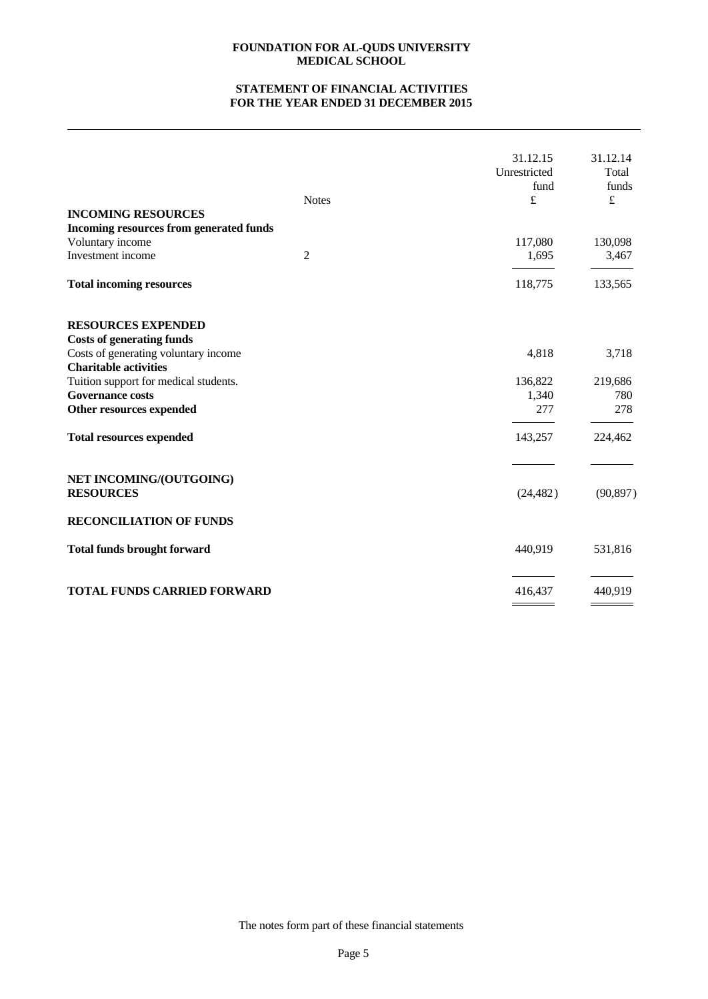# **STATEMENT OF FINANCIAL ACTIVITIES FOR THE YEAR ENDED 31 DECEMBER 2015**

|                                             |              | 31.12.15     | 31.12.14  |
|---------------------------------------------|--------------|--------------|-----------|
|                                             |              | Unrestricted | Total     |
|                                             |              | fund<br>£    | funds     |
| <b>INCOMING RESOURCES</b>                   | <b>Notes</b> |              | $\pounds$ |
| Incoming resources from generated funds     |              |              |           |
| Voluntary income                            |              | 117,080      | 130,098   |
| Investment income                           | 2            | 1,695        | 3,467     |
|                                             |              |              |           |
| <b>Total incoming resources</b>             |              | 118,775      | 133,565   |
| <b>RESOURCES EXPENDED</b>                   |              |              |           |
| <b>Costs of generating funds</b>            |              |              |           |
| Costs of generating voluntary income        |              | 4,818        | 3,718     |
| <b>Charitable activities</b>                |              |              |           |
| Tuition support for medical students.       |              | 136,822      | 219,686   |
| <b>Governance costs</b>                     |              | 1,340        | 780       |
| Other resources expended                    |              | 277          | 278       |
| <b>Total resources expended</b>             |              | 143,257      | 224,462   |
|                                             |              |              |           |
| NET INCOMING/(OUTGOING)<br><b>RESOURCES</b> |              | (24, 482)    | (90, 897) |
|                                             |              |              |           |
| <b>RECONCILIATION OF FUNDS</b>              |              |              |           |
| <b>Total funds brought forward</b>          |              | 440,919      | 531,816   |
| <b>TOTAL FUNDS CARRIED FORWARD</b>          |              | 416,437      | 440,919   |

The notes form part of these financial statements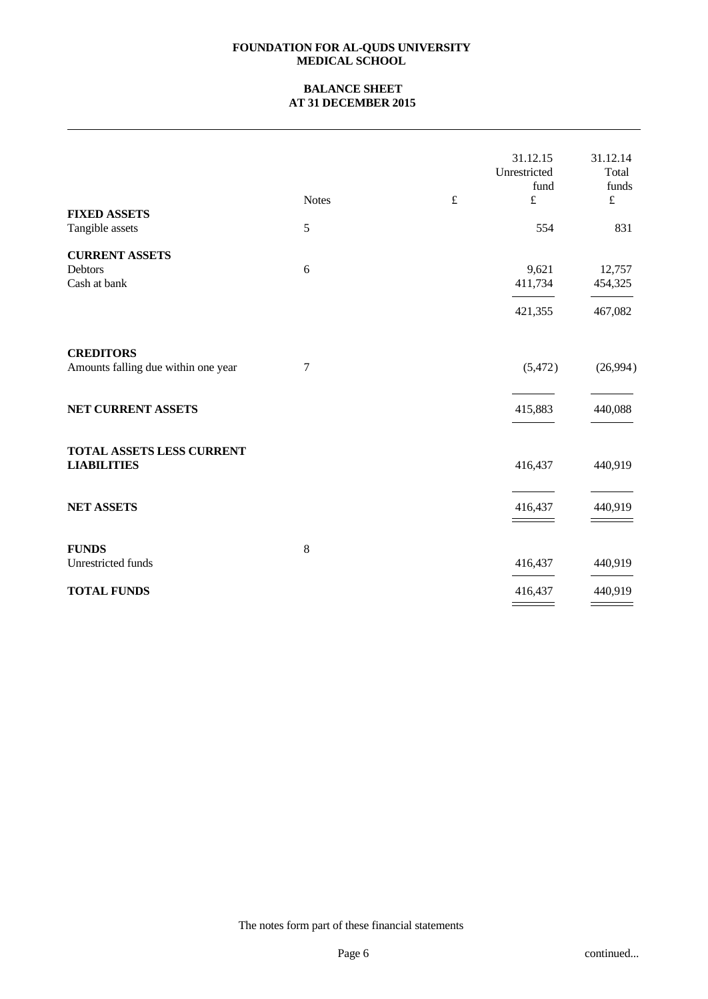# **BALANCE SHEET AT 31 DECEMBER 2015**

| <b>FIXED ASSETS</b><br>Tangible assets                  | <b>Notes</b><br>5 | $\pounds$ | 31.12.15<br>Unrestricted<br>fund<br>$\pounds$<br>554 | 31.12.14<br>Total<br>funds<br>$\pounds$<br>831 |
|---------------------------------------------------------|-------------------|-----------|------------------------------------------------------|------------------------------------------------|
|                                                         |                   |           |                                                      |                                                |
| <b>CURRENT ASSETS</b><br>Debtors<br>Cash at bank        | $\sqrt{6}$        |           | 9,621<br>411,734<br>421,355                          | 12,757<br>454,325<br>467,082                   |
| <b>CREDITORS</b><br>Amounts falling due within one year | 7                 |           | (5,472)                                              | (26,994)                                       |
| NET CURRENT ASSETS                                      |                   |           | 415,883                                              | 440,088                                        |
| <b>TOTAL ASSETS LESS CURRENT</b><br><b>LIABILITIES</b>  |                   |           | 416,437                                              | 440,919                                        |
| <b>NET ASSETS</b>                                       |                   |           | 416,437<br>______                                    | 440,919                                        |
| <b>FUNDS</b><br>Unrestricted funds                      | $\,8\,$           |           | 416,437                                              | 440,919                                        |
| <b>TOTAL FUNDS</b>                                      |                   |           | 416,437                                              | 440,919                                        |
|                                                         |                   |           |                                                      |                                                |

The notes form part of these financial statements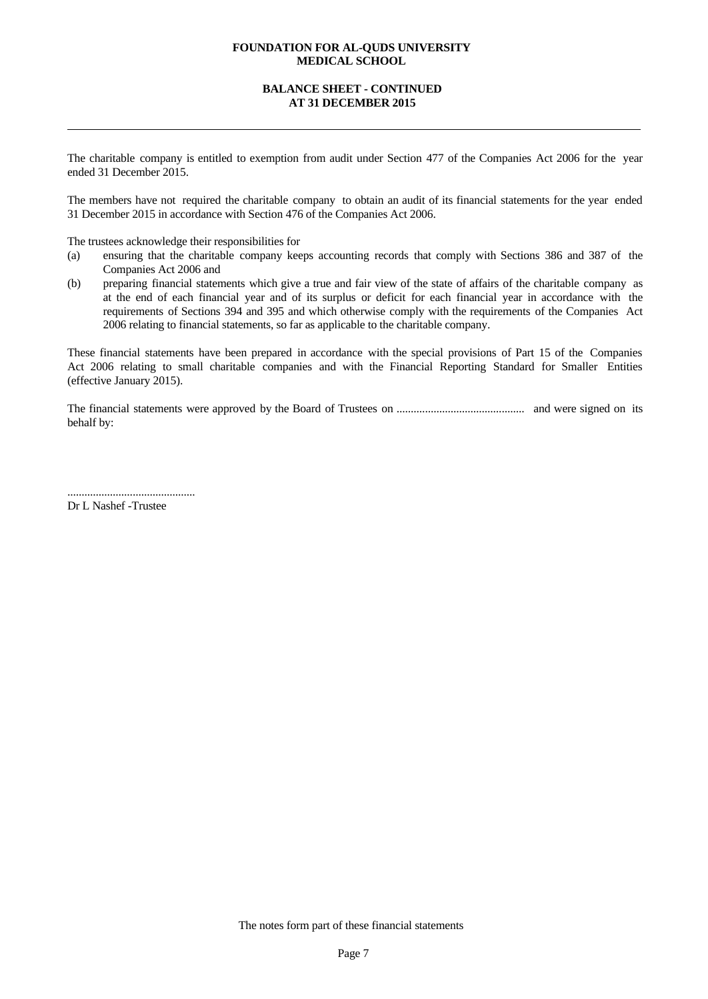## **BALANCE SHEET - CONTINUED AT 31 DECEMBER 2015**

The charitable company is entitled to exemption from audit under Section 477 of the Companies Act 2006 for the year ended 31 December 2015.

The members have not required the charitable company to obtain an audit of its financial statements for the year ended 31 December 2015 in accordance with Section 476 of the Companies Act 2006.

The trustees acknowledge their responsibilities for

- (a) ensuring that the charitable company keeps accounting records that comply with Sections 386 and 387 of the Companies Act 2006 and
- (b) preparing financial statements which give a true and fair view of the state of affairs of the charitable company as at the end of each financial year and of its surplus or deficit for each financial year in accordance with the requirements of Sections 394 and 395 and which otherwise comply with the requirements of the Companies Act 2006 relating to financial statements, so far as applicable to the charitable company.

These financial statements have been prepared in accordance with the special provisions of Part 15 of the Companies Act 2006 relating to small charitable companies and with the Financial Reporting Standard for Smaller Entities (effective January 2015).

The financial statements were approved by the Board of Trustees on ............................................. and were signed on its behalf by:

............................................. Dr L Nashef -Trustee

The notes form part of these financial statements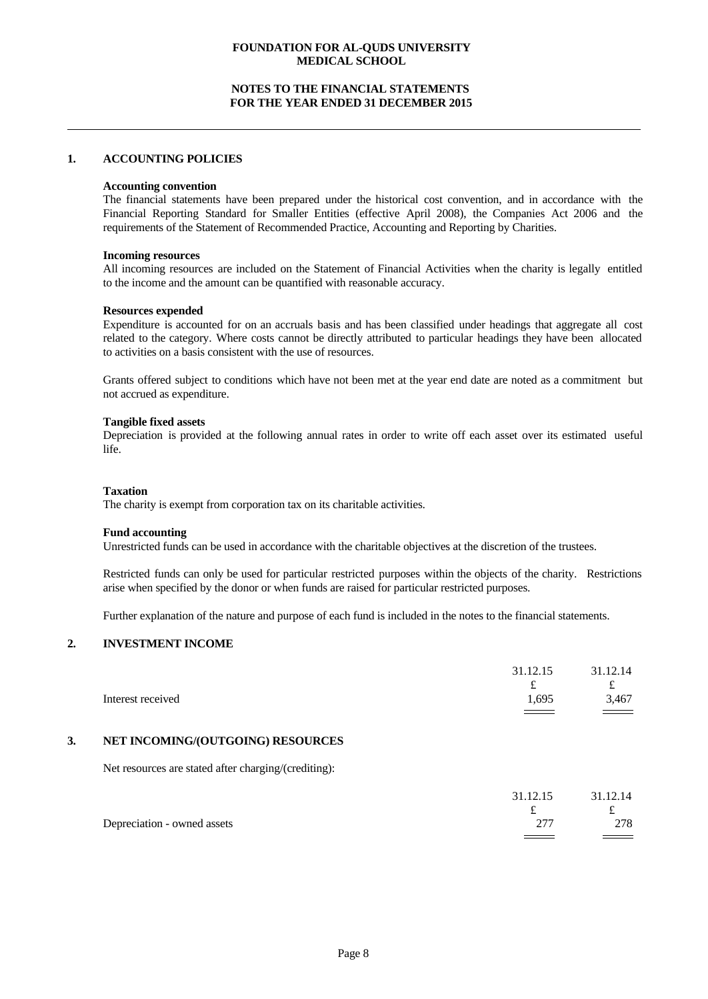## **NOTES TO THE FINANCIAL STATEMENTS FOR THE YEAR ENDED 31 DECEMBER 2015**

#### **1. ACCOUNTING POLICIES**

#### **Accounting convention**

The financial statements have been prepared under the historical cost convention, and in accordance with the Financial Reporting Standard for Smaller Entities (effective April 2008), the Companies Act 2006 and the requirements of the Statement of Recommended Practice, Accounting and Reporting by Charities.

#### **Incoming resources**

All incoming resources are included on the Statement of Financial Activities when the charity is legally entitled to the income and the amount can be quantified with reasonable accuracy.

#### **Resources expended**

Expenditure is accounted for on an accruals basis and has been classified under headings that aggregate all cost related to the category. Where costs cannot be directly attributed to particular headings they have been allocated to activities on a basis consistent with the use of resources.

Grants offered subject to conditions which have not been met at the year end date are noted as a commitment but not accrued as expenditure.

#### **Tangible fixed assets**

Depreciation is provided at the following annual rates in order to write off each asset over its estimated useful life.

#### **Taxation**

The charity is exempt from corporation tax on its charitable activities.

#### **Fund accounting**

Unrestricted funds can be used in accordance with the charitable objectives at the discretion of the trustees.

Restricted funds can only be used for particular restricted purposes within the objects of the charity. Restrictions arise when specified by the donor or when funds are raised for particular restricted purposes.

Further explanation of the nature and purpose of each fund is included in the notes to the financial statements.

## **2. INVESTMENT INCOME**

|                   | 31.12.15          | 31.12.14        |  |
|-------------------|-------------------|-----------------|--|
|                   | ىم                | $\epsilon$<br>t |  |
| Interest received | 1,695             | 3,467           |  |
|                   | $\equiv$ $\equiv$ | ___             |  |

## **3. NET INCOMING/(OUTGOING) RESOURCES**

Net resources are stated after charging/(crediting):

|                             | 31.12.15                        | 31.12.14 |  |
|-----------------------------|---------------------------------|----------|--|
|                             | ~                               | ے        |  |
| Depreciation - owned assets | $\sim$ 1 $\,$                   | 278      |  |
|                             | the contract of the contract of | ===      |  |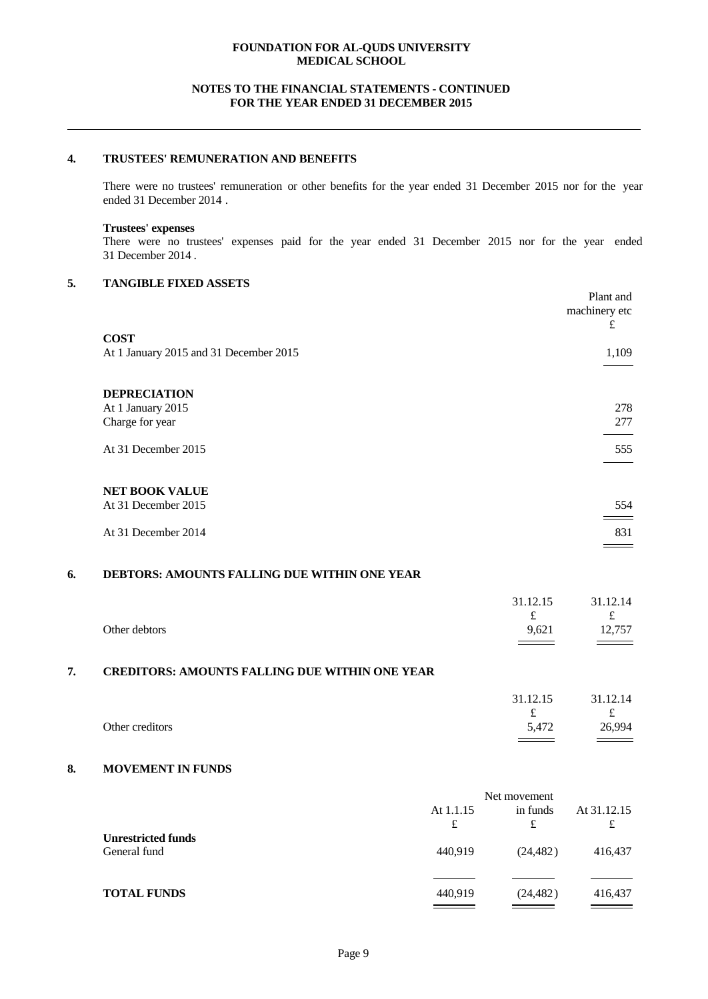## **NOTES TO THE FINANCIAL STATEMENTS - CONTINUED FOR THE YEAR ENDED 31 DECEMBER 2015**

#### **4. TRUSTEES' REMUNERATION AND BENEFITS**

There were no trustees' remuneration or other benefits for the year ended 31 December 2015 nor for the year ended 31 December 2014 .

# **Trustees' expenses**

There were no trustees' expenses paid for the year ended 31 December 2015 nor for the year ended 31 December 2014 .

#### **5. TANGIBLE FIXED ASSETS**

|                                        | Plant and<br>machinery etc<br>£ |
|----------------------------------------|---------------------------------|
| <b>COST</b>                            |                                 |
| At 1 January 2015 and 31 December 2015 | 1,109                           |
|                                        |                                 |
| <b>DEPRECIATION</b>                    |                                 |
| At 1 January 2015                      | 278                             |
| Charge for year                        | 277                             |
|                                        |                                 |
| At 31 December 2015                    | 555                             |
|                                        |                                 |
| <b>NET BOOK VALUE</b>                  |                                 |
| At 31 December 2015                    | 554                             |
|                                        |                                 |
| At 31 December 2014                    | 831                             |
|                                        |                                 |

# **6. DEBTORS: AMOUNTS FALLING DUE WITHIN ONE YEAR**

|               | 211215<br>31.12.13                  | 1.12.14<br>21 |  |
|---------------|-------------------------------------|---------------|--|
|               | $\widetilde{\phantom{m}}$<br>$\sim$ | $\sim$<br>ىم  |  |
| Other debtors | 9,621                               | 12,757        |  |
|               |                                     | _____         |  |

# **7. CREDITORS: AMOUNTS FALLING DUE WITHIN ONE YEAR**

|                 | 31.12.15 | 31.12.14                 |  |
|-----------------|----------|--------------------------|--|
|                 |          | f(x)                     |  |
| Other creditors | 5,472    | 26,994                   |  |
|                 |          | $\overline{\phantom{a}}$ |  |

## **8. MOVEMENT IN FUNDS**

|                                           | Net movement   |               |                  |
|-------------------------------------------|----------------|---------------|------------------|
|                                           | At 1.1.15<br>£ | in funds<br>£ | At 31.12.15<br>£ |
| <b>Unrestricted funds</b><br>General fund | 440,919        | (24, 482)     | 416,437          |
| <b>TOTAL FUNDS</b>                        | 440,919        | (24, 482)     | 416,437          |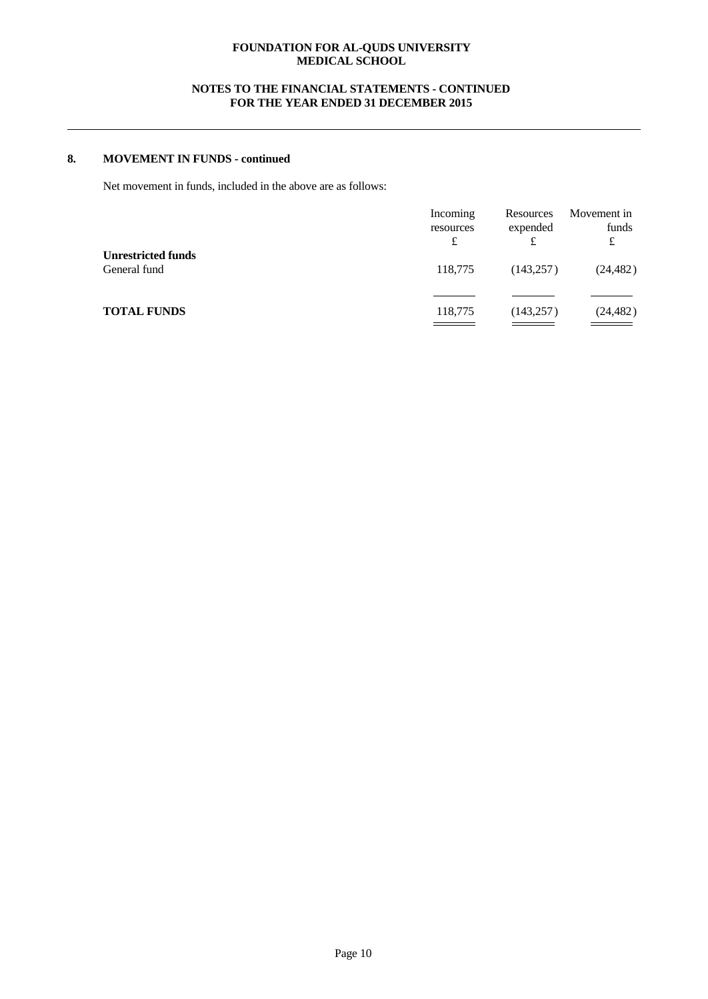# **NOTES TO THE FINANCIAL STATEMENTS - CONTINUED FOR THE YEAR ENDED 31 DECEMBER 2015**

## **8. MOVEMENT IN FUNDS - continued**

Net movement in funds, included in the above are as follows:

|                                           | Incoming<br>resources<br>£ | Resources<br>expended<br>£ | Movement in<br>funds<br>£  |
|-------------------------------------------|----------------------------|----------------------------|----------------------------|
| <b>Unrestricted funds</b><br>General fund | 118,775                    | (143, 257)                 | (24, 482)                  |
| <b>TOTAL FUNDS</b>                        | 118,775                    | (143, 257)                 | (24, 482)<br>$\frac{1}{1}$ |